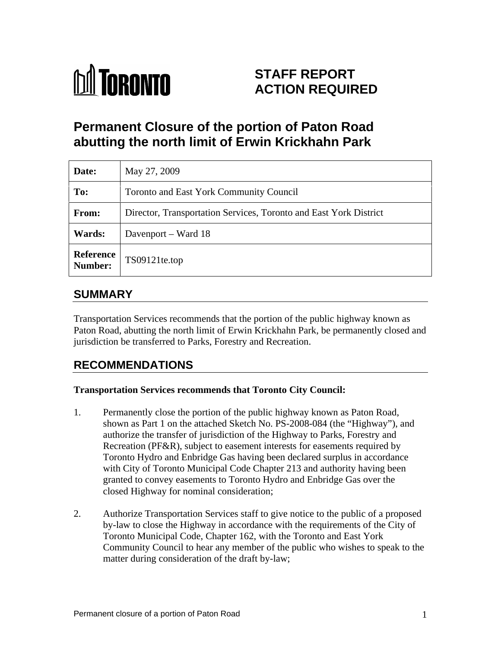

# **STAFF REPORT ACTION REQUIRED**

# **Permanent Closure of the portion of Paton Road abutting the north limit of Erwin Krickhahn Park**

| Date:                | May 27, 2009                                                      |
|----------------------|-------------------------------------------------------------------|
| To:                  | Toronto and East York Community Council                           |
| From:                | Director, Transportation Services, Toronto and East York District |
| <b>Wards:</b>        | Davenport – Ward 18                                               |
| Reference<br>Number: | TS09121te.top                                                     |

### **SUMMARY**

Transportation Services recommends that the portion of the public highway known as Paton Road, abutting the north limit of Erwin Krickhahn Park, be permanently closed and jurisdiction be transferred to Parks, Forestry and Recreation.

## **RECOMMENDATIONS**

#### **Transportation Services recommends that Toronto City Council:**

- 1. Permanently close the portion of the public highway known as Paton Road, shown as Part 1 on the attached Sketch No. PS-2008-084 (the "Highway"), and authorize the transfer of jurisdiction of the Highway to Parks, Forestry and Recreation (PF&R), subject to easement interests for easements required by Toronto Hydro and Enbridge Gas having been declared surplus in accordance with City of Toronto Municipal Code Chapter 213 and authority having been granted to convey easements to Toronto Hydro and Enbridge Gas over the closed Highway for nominal consideration;
- 2. Authorize Transportation Services staff to give notice to the public of a proposed by-law to close the Highway in accordance with the requirements of the City of Toronto Municipal Code, Chapter 162, with the Toronto and East York Community Council to hear any member of the public who wishes to speak to the matter during consideration of the draft by-law;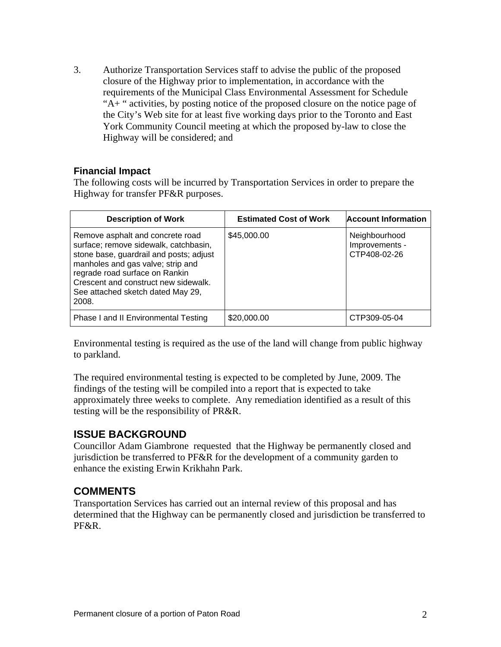3. Authorize Transportation Services staff to advise the public of the proposed closure of the Highway prior to implementation, in accordance with the requirements of the Municipal Class Environmental Assessment for Schedule "A+ " activities, by posting notice of the proposed closure on the notice page of the City's Web site for at least five working days prior to the Toronto and East York Community Council meeting at which the proposed by-law to close the Highway will be considered; and

#### **Financial Impact**

The following costs will be incurred by Transportation Services in order to prepare the Highway for transfer PF&R purposes.

Environmental testing is required as the use of the land will change from public highway to parkland.

The required environmental testing is expected to be completed by June, 2009. The findings of the testing will be compiled into a report that is expected to take approximately three weeks to complete. Any remediation identified as a result of this testing will be the responsibility of PR&R.

### **ISSUE BACKGROUND**

Councillor Adam Giambrone requested that the Highway be permanently closed and jurisdiction be transferred to PF&R for the development of a community garden to enhance the existing Erwin Krikhahn Park.

### **COMMENTS**

Transportation Services has carried out an internal review of this proposal and has determined that the Highway can be permanently closed and jurisdiction be transferred to PF&R.